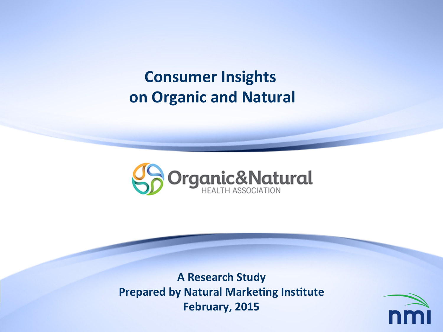**Consumer Insights on Organic and Natural** 



**A Research Study Prepared by Natural Marketing Institute February, 2015** 

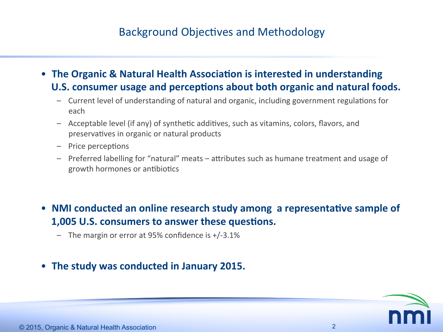### Background Objectives and Methodology

- The Organic & Natural Health Association is interested in understanding U.S. consumer usage and perceptions about both organic and natural foods.
	- Current level of understanding of natural and organic, including government regulations for each
	- Acceptable level (if any) of synthetic additives, such as vitamins, colors, flavors, and preservatives in organic or natural products
	- Price perceptions
	- Preferred labelling for "natural" meats attributes such as humane treatment and usage of growth hormones or antibiotics
- NMI conducted an online research study among a representative sample of **1,005 U.S. consumers to answer these questions.** 
	- $-$  The margin or error at 95% confidence is  $+/-3.1\%$
- The study was conducted in January 2015.

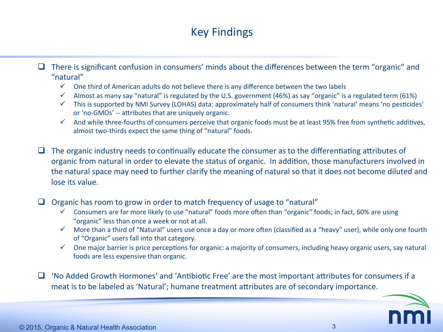### Key Findings

 $\Box$  There is significant confusion in consumers' minds about the differences between the term "organic" and "natural" 

- $\checkmark$  One third of American adults do not believe there is any difference between the two labels
- $\checkmark$  Almost as many say "natural" is regulated by the U.S. government (46%) as say "organic" is a regulated term (61%)
- $\checkmark$  This is supported by NMI Survey (LOHAS) data: approximately half of consumers think 'natural' means 'no pesticides' or 'no-GMOs' -- attributes that are uniquely organic.
- $\checkmark$  And while three-fourths of consumers perceive that organic foods must be at least 95% free from synthetic additives, almost two-thirds expect the same thing of "natural" foods.

 $\Box$  The organic industry needs to continually educate the consumer as to the differentiating attributes of organic from natural in order to elevate the status of organic. In addition, those manufacturers involved in the natural space may need to further clarify the meaning of natural so that it does not become diluted and lose its value.

 $\Box$  Organic has room to grow in order to match frequency of usage to "natural"

- $\checkmark$  Consumers are far more likely to use "natural" foods more often than "organic" foods; in fact, 60% are using "organic" less than once a week or not at all.
- $\checkmark$  More than a third of "Natural" users use once a day or more often (classified as a "heavy" user), while only one fourth of "Organic" users fall into that category.
- $\checkmark$  One major barrier is price perceptions for organic: a majority of consumers, including heavy organic users, say natural foods are less expensive than organic.

 $\Box$  'No Added Growth Hormones' and 'Antibiotic Free' are the most important attributes for consumers if a meat is to be labeled as 'Natural'; humane treatment attributes are of secondary importance.

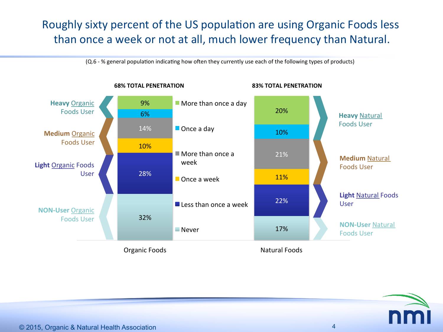### Roughly sixty percent of the US population are using Organic Foods less than once a week or not at all, much lower frequency than Natural.

(Q.6 - % general population indicating how often they currently use each of the following types of products)

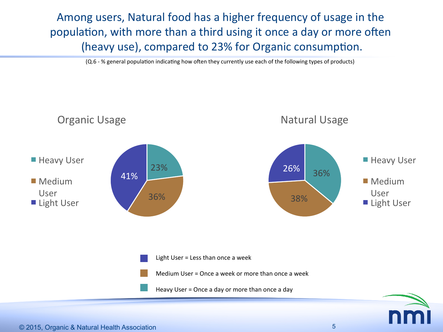Among users, Natural food has a higher frequency of usage in the population, with more than a third using it once a day or more often (heavy use), compared to 23% for Organic consumption.

(Q.6 - % general population indicating how often they currently use each of the following types of products)

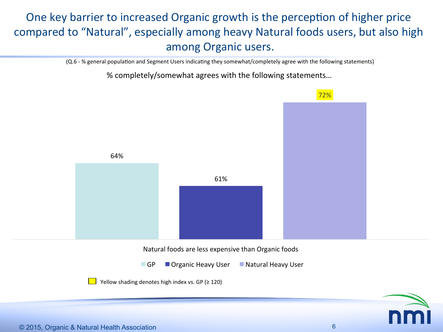# One key barrier to increased Organic growth is the perception of higher price compared to "Natural", especially among heavy Natural foods users, but also high among Organic users.

(Q.6 - % general population and Segment Users indicating they somewhat/completely agree with the following statements)

% completely/somewhat agrees with the following statements...

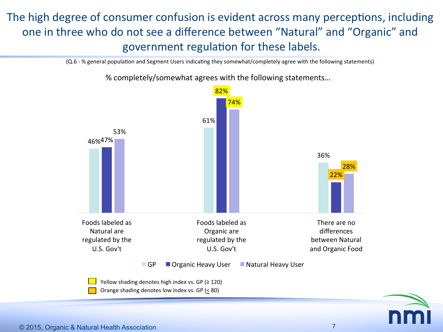# The high degree of consumer confusion is evident across many perceptions, including one in three who do not see a difference between "Natural" and "Organic" and government regulation for these labels.

(Q.6 - % general population and Segment Users indicating they somewhat/completely agree with the following statements)



% completely/somewhat agrees with the following statements...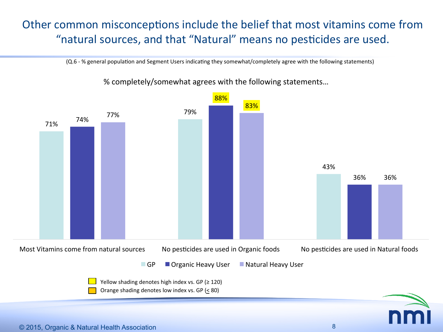### Other common misconceptions include the belief that most vitamins come from "natural sources, and that "Natural" means no pesticides are used.

(Q.6 - % general population and Segment Users indicating they somewhat/completely agree with the following statements)



% completely/somewhat agrees with the following statements...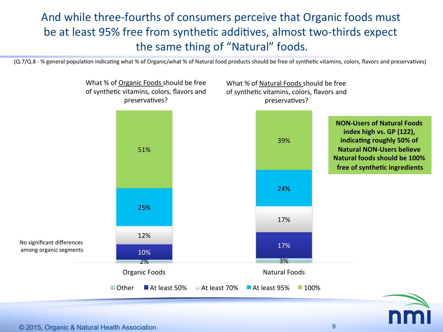## And while three-fourths of consumers perceive that Organic foods must be at least 95% free from synthetic additives, almost two-thirds expect the same thing of "Natural" foods.

(Q.7/Q.8 - % general population indicating what % of Organic/what % of Natural food products should be free of synthetic vitamins, colors, flavors and preservatives)